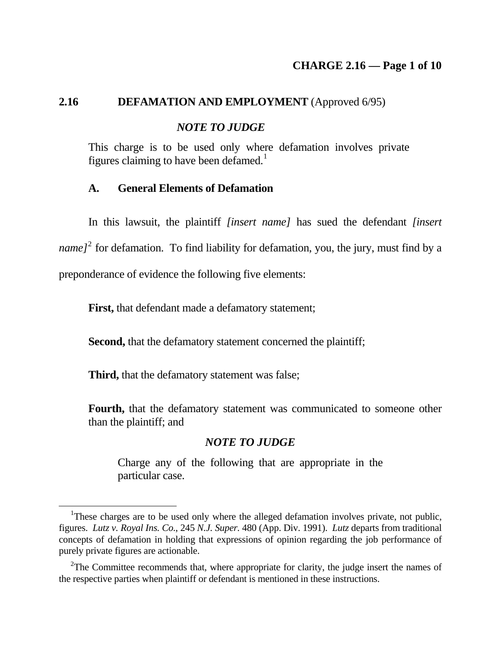## 2.16 **DEFAMATION AND EMPLOYMENT** (Approved 6/95)

## *NOTE TO JUDGE*

This charge is to be used only whe[re](#page-0-0) defamation involves private figures claiming to have been defamed.<sup>[1](#page-0-0)</sup>

### **A. General Elements of Defamation**

 In this lawsuit, the plaintiff *[insert name]* has sued the defendant *[insert*  name]<sup>[2](#page-0-1)</sup> for defamation. To find liability for defamation, you, the jury, must find by a

preponderance of evidence the following five elements:

First, that defendant made a defamatory statement;

 **Second,** that the defamatory statement concerned the plaintiff;

 **Third,** that the defamatory statement was false;

<u>.</u>

 **Fourth,** that the defamatory statement was communicated to someone other than the plaintiff; and

## *NOTE TO JUDGE*

Charge any of the following that are appropriate in the particular case.

<span id="page-0-0"></span><sup>&</sup>lt;sup>1</sup>These charges are to be used only where the alleged defamation involves private, not public, figures. *Lutz v. Royal Ins. Co.*, 245 *N.J. Super.* 480 (App. Div. 1991). *Lutz* departs from traditional concepts of defamation in holding that expressions of opinion regarding the job performance of purely private figures are actionable.

<span id="page-0-1"></span> $2$ The Committee recommends that, where appropriate for clarity, the judge insert the names of the respective parties when plaintiff or defendant is mentioned in these instructions.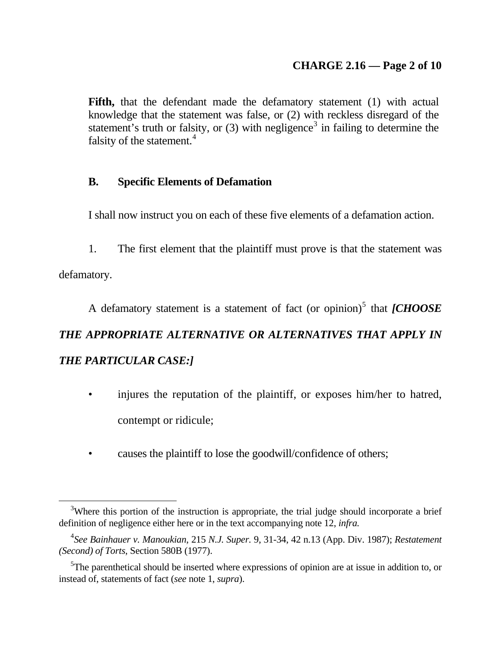# **CHARGE 2.16 — Page 2 of 10**

**Fifth,** that the defendant made the defamatory statement (1) with actual knowledge that the statement was false, or (2) with reckless disregard of the statement's truth or fals[it](#page-1-1)y, or  $(3)$  $(3)$  $(3)$  with negligence<sup>3</sup> in failing to determine the falsity of the statement.<sup>[4](#page-1-1)</sup>

# **B. Specific Elements of Defamation**

I shall now instruct you on each of these five elements of a defamation action.

1. The first element that the plaintiff must prove is that the statement was

defamatory.

1

A defamatory statement is a statement of fact (or opinion)<sup>[5](#page-1-2)</sup> that *[CHOOSE THE APPROPRIATE ALTERNATIVE OR ALTERNATIVES THAT APPLY IN THE PARTICULAR CASE:]* 

- injures the reputation of the plaintiff, or exposes him/her to hatred, contempt or ridicule;
- causes the plaintiff to lose the goodwill/confidence of others;

<span id="page-1-0"></span><sup>&</sup>lt;sup>3</sup>Where this portion of the instruction is appropriate, the trial judge should incorporate a brief definition of negligence either here or in the text accompanying note 12, *infra.*

<span id="page-1-1"></span><sup>4</sup> *See Bainhauer v. Manoukian*, 215 *N.J. Super.* 9, 31-34, 42 n.13 (App. Div. 1987); *Restatement (Second) of Torts*, Section 580B (1977).

<span id="page-1-2"></span><sup>&</sup>lt;sup>5</sup>The parenthetical should be inserted where expressions of opinion are at issue in addition to, or instead of, statements of fact (*see* note 1, *supra*).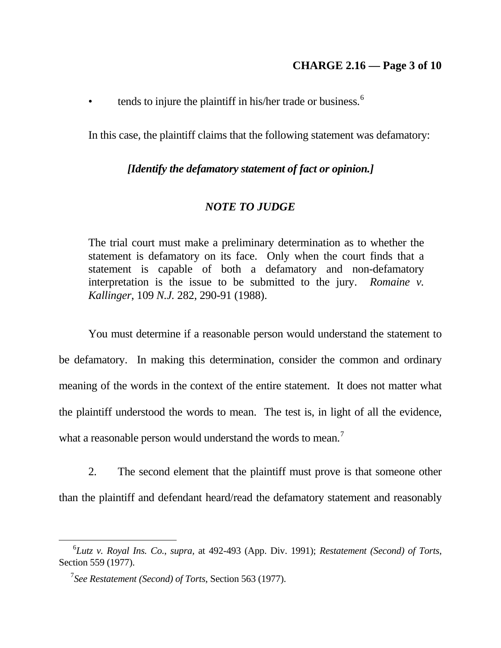• tends to injure the plaintiff in his/her trade or business. $<sup>6</sup>$  $<sup>6</sup>$  $<sup>6</sup>$ </sup>

In this case, the plaintiff claims that the following statement was defamatory:

## *[Identify the defamatory statement of fact or opinion.]*

## *NOTE TO JUDGE*

The trial court must make a preliminary determination as to whether the statement is defamatory on its face. Only when the court finds that a statement is capable of both a defamatory and non-defamatory interpretation is the issue to be submitted to the jury. *Romaine v. Kallinger*, 109 *N.J.* 282, 290-91 (1988).

 You must determine if a reasonable person would understand the statement to be defamatory. In making this determination, consider the common and ordinary meaning of the words in the context of the entire statement. It does not matter what the plaintiff understood the words to mean. The test is, in light of all the evidence, what a reasonable person would understand the words to mean.<sup>[7](#page-2-1)</sup>

2. The second element that the plaintiff must prove is that someone other than the plaintiff and defendant heard/read the defamatory statement and reasonably

<span id="page-2-0"></span><sup>6</sup> *Lutz v. Royal Ins. Co.*, *supra,* at 492-493 (App. Div. 1991); *Restatement (Second) of Torts*, Section 559 (1977).

<span id="page-2-1"></span><sup>&</sup>lt;sup>7</sup> See Restatement (Second) of Torts, Section 563 (1977).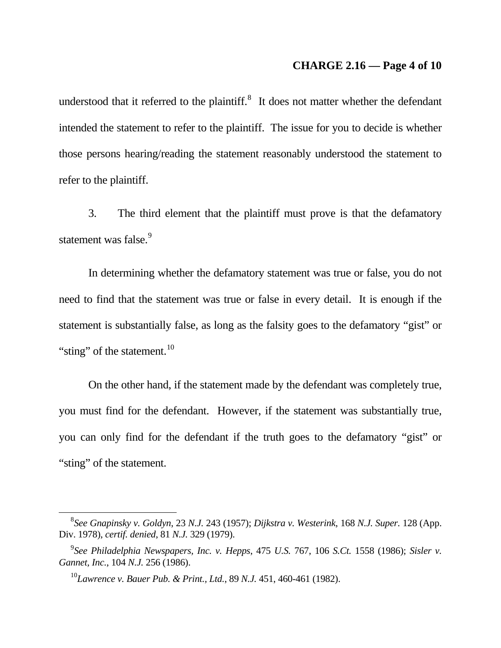### **CHARGE 2.16 — Page 4 of 10**

understood that it referred to the plaintiff. $\delta$  It does not matter whether the defendant intended the statement to refer to the plaintiff. The issue for you to decide is whether those persons hearing/reading the statement reasonably understood the statement to refer to the plaintiff.

3. The third element that the plaintiff must prove is that the defamatory statement was false.<sup>[9](#page-3-1)</sup>

 In determining whether the defamatory statement was true or false, you do not need to find that the statement was true or false in every detail. It is enough if the statement is substantially false, as long as the falsity goes to the defamatory "gist" or "sting" of the statement. $^{10}$  $^{10}$  $^{10}$ 

 On the other hand, if the statement made by the defendant was completely true, you must find for the defendant. However, if the statement was substantially true, you can only find for the defendant if the truth goes to the defamatory "gist" or "sting" of the statement.

<span id="page-3-0"></span><sup>8</sup> *See Gnapinsky v. Goldyn*, 23 *N.J.* 243 (1957); *Dijkstra v. Westerink*, 168 *N.J. Super.* 128 (App. Div. 1978), *certif. denied*, 81 *N.J.* 329 (1979).

<span id="page-3-2"></span><span id="page-3-1"></span><sup>&</sup>lt;sup>9</sup> See Philadelphia Newspapers, Inc. v. Hepps, 475 U.S. 767, 106 S.Ct. 1558 (1986); Sisler v. *Gannet, Inc.*, 104 *N.J.* 256 (1986).

<sup>10</sup>*Lawrence v. Bauer Pub. & Print., Ltd.*, 89 *N.J.* 451, 460-461 (1982).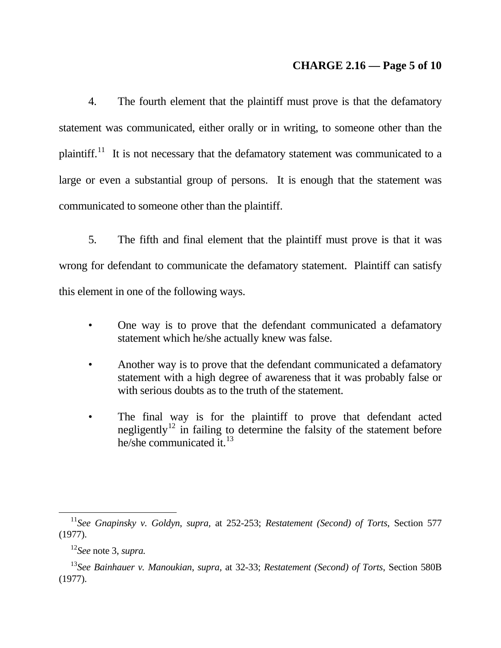## **CHARGE 2.16 — Page 5 of 10**

4. The fourth element that the plaintiff must prove is that the defamatory statement was communicated, either orally or in writing, to someone other than the plaintiff.<sup>[11](#page-4-0)</sup> It is not necessary that the defamatory statement was communicated to a large or even a substantial group of persons. It is enough that the statement was communicated to someone other than the plaintiff.

5. The fifth and final element that the plaintiff must prove is that it was wrong for defendant to communicate the defamatory statement. Plaintiff can satisfy this element in one of the following ways.

- One way is to prove that the defendant communicated a defamatory statement which he/she actually knew was false.
- Another way is to prove that the defendant communicated a defamatory statement with a high degree of awareness that it was probably false or with serious doubts as to the truth of the statement.
- The final way is for the plaintiff to prove that defendant acted negligently<sup>[12](#page-4-1)</sup> in failing to determine the falsity of the statement before he/she communicated it.[13](#page-4-2)

<u>.</u>

<span id="page-4-0"></span><sup>11</sup>*See Gnapinsky v. Goldyn*, *supra,* at 252-253; *Restatement (Second) of Torts*, Section 577 (1977).

<sup>12</sup>*See* note 3, *supra.*

<span id="page-4-2"></span><span id="page-4-1"></span><sup>13</sup>*See Bainhauer v. Manoukian*, *supra,* at 32-33; *Restatement (Second) of Torts*, Section 580B (1977).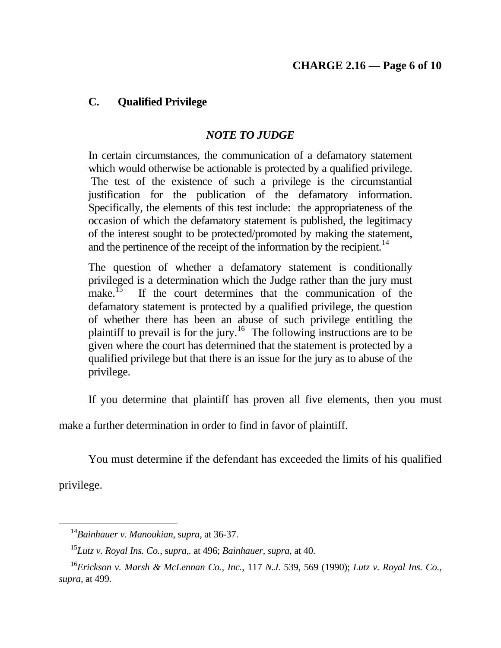# **C. Qualified Privilege**

# *NOTE TO JUDGE*

In certain circumstances, the communication of a defamatory statement which would otherwise be actionable is protected by a qualified privilege. The test of the existence of such a privilege is the circumstantial justification for the publication of the defamatory information. Specifically, the elements of this test include: the appropriateness of the occasion of which the defamatory statement is published, the legitimacy of the interest sought to be protected/promoted by making the state[m](#page-5-0)ent, and the pertinence of the receipt of the information by the recipient. $14$ 

The question of whether a defamatory statement is conditionally privileged is a determination which the Judge rather than the jury must make.<sup>15</sup> If the court determines that the communication of the If the court determines that the communication of the defamatory statement is protected by a qualified privilege, the question of whether there has been an abuse of such privilege entitling the plaintiff to prevail is for the jury.<sup>[16](#page-5-2)</sup> The following instructions are to be given where the court has determined that the statement is protected by a qualified privilege but that there is an issue for the jury as to abuse of the privilege.

If you determine that plaintiff has proven all five elements, then you must

make a further determination in order to find in favor of plaintiff.

You must determine if the defendant has exceeded the limits of his qualified

privilege.

<sup>14</sup>*Bainhauer v. Manoukian*, s*upra,* at 36-37.

<sup>15</sup>*Lutz v. Royal Ins. Co.*, s*upra,.* at 496; *Bainhauer, supra*, at 40.

<span id="page-5-2"></span><span id="page-5-1"></span><span id="page-5-0"></span><sup>16</sup>*Erickson v. Marsh & McLennan Co., Inc.*, 117 *N.J.* 539, 569 (1990); *Lutz v. Royal Ins. Co., supra*, at 499.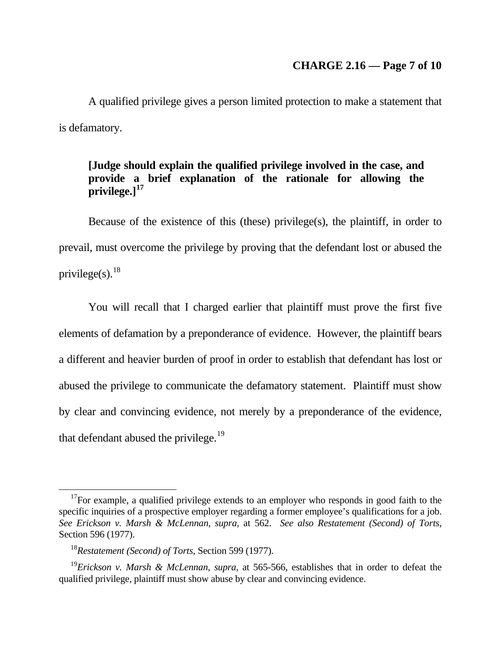# **CHARGE 2.16 — Page 7 of 10**

 A qualified privilege gives a person limited protection to make a statement that is defamatory.

## **[Judge should explain the qualified privilege involved in the case, and provide a brief explanation of the rationale for allowing the privilege.][17](#page-6-0)**

 Because of the existence of this (these) privilege(s), the plaintiff, in order to prevail, must overcome the privilege by proving that the defendant lost or abused the privilege(s).  $18$ 

 You will recall that I charged earlier that plaintiff must prove the first five elements of defamation by a preponderance of evidence. However, the plaintiff bears a different and heavier burden of proof in order to establish that defendant has lost or abused the privilege to communicate the defamatory statement. Plaintiff must show by clear and convincing evidence, not merely by a preponderance of the evidence, that defendant abused the privilege. $19$ 

<span id="page-6-0"></span> $17$ For example, a qualified privilege extends to an employer who responds in good faith to the specific inquiries of a prospective employer regarding a former employee's qualifications for a job. *See Erickson v. Marsh & McLennan*, *supra,* at 562. *See also Restatement (Second) of Torts*, Section 596 (1977).

<sup>&</sup>lt;sup>18</sup>Restatement (Second) of Torts, Section 599 (1977).

<span id="page-6-2"></span><span id="page-6-1"></span><sup>19</sup>*Erickson v. Marsh & McLennan*, *supra,* at 565-566, establishes that in order to defeat the qualified privilege, plaintiff must show abuse by clear and convincing evidence.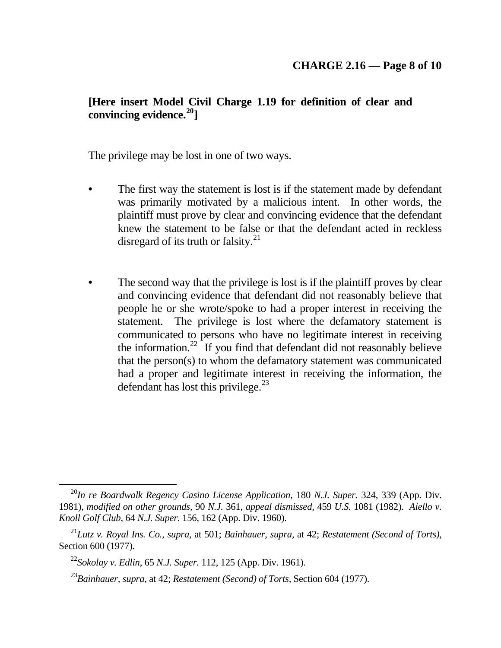# **[Here insert Model Civil Charge 1.19 for definition of clear and convincing evidence.[20](#page-7-0)]**

The privilege may be lost in one of two ways.

- **•** The first way the statement is lost is if the statement made by defendant was primarily motivated by a malicious intent. In other words, the plaintiff must prove by clear and convincing evidence that the defendant knew the statement to be falseor that the defendant acted in reckless disregard of its truth or falsity. $^{21}$  $^{21}$  $^{21}$
- The second way that the privilege is lost is if the plaintiff proves by clear and convincing evidence that defendant did not reasonably believe that people he or she wrote/spoke to had a proper interest in receiving the statement. The privilege is lost where the defamatory statement is communicated to persons who have no legitimate interest in receiving the information. $22$  If you find that defendant did not reasonably believe that the person(s) to whom the defamatory statement was communicated had a proper and legitimate int[er](#page-7-3)est in receiving the information, the defendant has lost this privilege. $^{23}$  $^{23}$  $^{23}$

<u>.</u>

<span id="page-7-0"></span><sup>20</sup>*In re Boardwalk Regency Casino License Application*, 180 *N.J. Super.* 324, 339 (App. Div. 1981), *modified on other grounds,* 90 *N.J.* 361, *appeal dismissed*, 459 *U.S.* 1081 (1982). *Aiello v. Knoll Golf Club*, 64 *N.J. Super.* 156, 162 (App. Div. 1960).

<span id="page-7-2"></span><span id="page-7-1"></span><sup>21</sup>*Lutz v. Royal Ins. Co., supra,* at 501; *Bainhauer, supra,* at 42; *Restatement (Second of Torts)*, Section 600 (1977).

<sup>22</sup>*Sokolay v. Edlin*, 65 *N.J. Super.* 112, 125 (App. Div. 1961).

<span id="page-7-3"></span><sup>23</sup>*Bainhauer, supra,* at 42; *Restatement (Second) of Torts,* Section 604 (1977).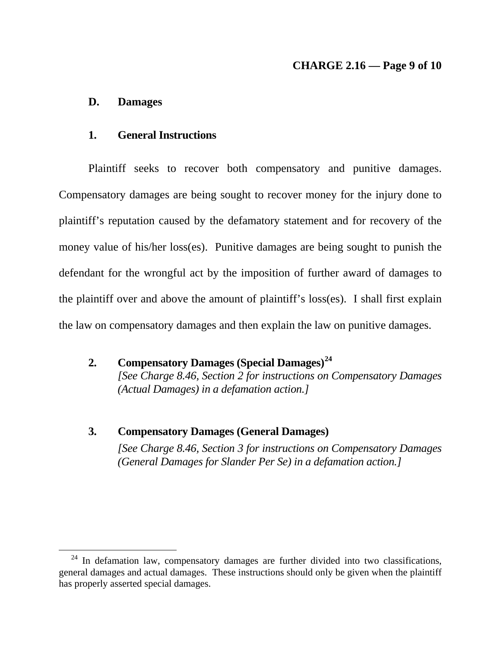# **CHARGE 2.16 — Page 9 of 10**

#### **D. Damages**

<u>.</u>

#### **1. General Instructions**

 Plaintiff seeks to recover both compensatory and punitive damages. Compensatory damages are being sought to recover money for the injury done to plaintiff's reputation caused by the defamatory statement and for recovery of the money value of his/her loss(es). Punitive damages are being sought to punish the defendant for the wrongful act by the imposition of further award of damages to the plaintiff over and above the amount of plaintiff's loss(es). I shall first explain the law on compensatory damages and then explain the law on punitive damages.

 **2. Compensatory Damages (Special Damages)[24](#page-8-0)** *[\[See Charge 8.46, Section 2 for instructions on Compensatory Damages](#page-8-0)  [\(Actual Damages\) in a defamation action.\]](#page-8-0)*

#### **3. Compensatory Damages (General Damages)**

*[See Charge 8.46, Section 3 for instructions on Compensatory Damages (General Damages for Slander Per Se) in a defamation action.]* 

<span id="page-8-0"></span> $24$  In defamation law, compensatory damages are further divided into two classifications, general damages and actual damages. These instructions should only be given when the plaintiff has properly asserted special damages.